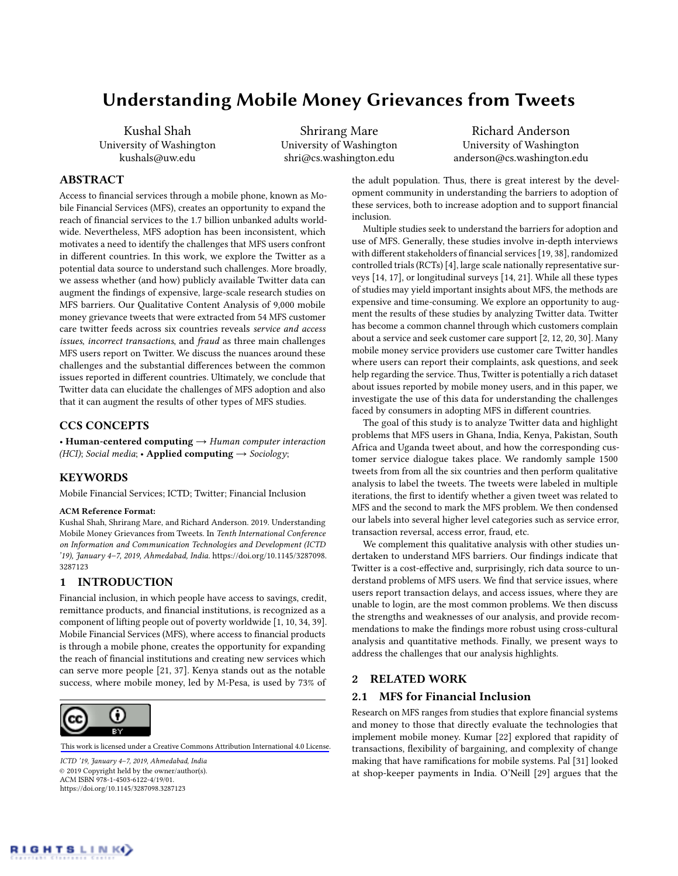# Understanding Mobile Money Grievances from Tweets

Kushal Shah University of Washington kushals@uw.edu

Shrirang Mare University of Washington shri@cs.washington.edu

Richard Anderson University of Washington anderson@cs.washington.edu

# ABSTRACT

Access to financial services through a mobile phone, known as Mobile Financial Services (MFS), creates an opportunity to expand the reach of financial services to the 1.7 billion unbanked adults worldwide. Nevertheless, MFS adoption has been inconsistent, which motivates a need to identify the challenges that MFS users confront in different countries. In this work, we explore the Twitter as a potential data source to understand such challenges. More broadly, we assess whether (and how) publicly available Twitter data can augment the findings of expensive, large-scale research studies on MFS barriers. Our Qualitative Content Analysis of 9,000 mobile money grievance tweets that were extracted from 54 MFS customer care twitter feeds across six countries reveals service and access issues, incorrect transactions, and fraud as three main challenges MFS users report on Twitter. We discuss the nuances around these challenges and the substantial differences between the common issues reported in different countries. Ultimately, we conclude that Twitter data can elucidate the challenges of MFS adoption and also that it can augment the results of other types of MFS studies.

# CCS CONCEPTS

• Human-centered computing  $\rightarrow$  Human computer interaction (HCI); Social media; • Applied computing  $\rightarrow$  Sociology;

# **KEYWORDS**

Mobile Financial Services; ICTD; Twitter; Financial Inclusion

#### ACM Reference Format:

Kushal Shah, Shrirang Mare, and Richard Anderson. 2019. Understanding Mobile Money Grievances from Tweets. In Tenth International Conference on Information and Communication Technologies and Development (ICTD '19), January 4–7, 2019, Ahmedabad, India. [https://doi.org/10.1145/3287098.](https://doi.org/10.1145/3287098.3287123) [3287123](https://doi.org/10.1145/3287098.3287123)

#### 1 INTRODUCTION

Financial inclusion, in which people have access to savings, credit, remittance products, and financial institutions, is recognized as a component of lifting people out of poverty worldwide [\[1,](#page-4-0) [10,](#page-4-1) [34,](#page-4-2) [39\]](#page-4-3). Mobile Financial Services (MFS), where access to financial products is through a mobile phone, creates the opportunity for expanding the reach of financial institutions and creating new services which can serve more people [\[21,](#page-4-4) [37\]](#page-4-5). Kenya stands out as the notable success, where mobile money, led by M-Pesa, is used by 73% of



[This work is licensed under a Creative Commons Attribution International 4.0 License](https://creativecommons.org/licenses/by/4.0/).

ICTD '19, January 4–7, 2019, Ahmedabad, India © 2019 Copyright held by the owner/author(s). [ACM ISBN 978-1-4503-6122-4/19/01.](https://doi.org/10.1145/3287098.3287123) https://doi.org/10.1145/3287098.3287123

the adult population. Thus, there is great interest by the development community in understanding the barriers to adoption of these services, both to increase adoption and to support financial inclusion.

Multiple studies seek to understand the barriers for adoption and use of MFS. Generally, these studies involve in-depth interviews with different stakeholders of financial services [\[19,](#page-4-6) [38\]](#page-4-7), randomized controlled trials (RCTs) [\[4\]](#page-4-8), large scale nationally representative surveys [\[14,](#page-4-9) [17\]](#page-4-10), or longitudinal surveys [\[14,](#page-4-9) [21\]](#page-4-4). While all these types of studies may yield important insights about MFS, the methods are expensive and time-consuming. We explore an opportunity to augment the results of these studies by analyzing Twitter data. Twitter has become a common channel through which customers complain about a service and seek customer care support [\[2,](#page-4-11) [12,](#page-4-12) [20,](#page-4-13) [30\]](#page-4-14). Many mobile money service providers use customer care Twitter handles where users can report their complaints, ask questions, and seek help regarding the service. Thus, Twitter is potentially a rich dataset about issues reported by mobile money users, and in this paper, we investigate the use of this data for understanding the challenges faced by consumers in adopting MFS in different countries.

The goal of this study is to analyze Twitter data and highlight problems that MFS users in Ghana, India, Kenya, Pakistan, South Africa and Uganda tweet about, and how the corresponding customer service dialogue takes place. We randomly sample 1500 tweets from from all the six countries and then perform qualitative analysis to label the tweets. The tweets were labeled in multiple iterations, the first to identify whether a given tweet was related to MFS and the second to mark the MFS problem. We then condensed our labels into several higher level categories such as service error, transaction reversal, access error, fraud, etc.

We complement this qualitative analysis with other studies undertaken to understand MFS barriers. Our findings indicate that Twitter is a cost-effective and, surprisingly, rich data source to understand problems of MFS users. We find that service issues, where users report transaction delays, and access issues, where they are unable to login, are the most common problems. We then discuss the strengths and weaknesses of our analysis, and provide recommendations to make the findings more robust using cross-cultural analysis and quantitative methods. Finally, we present ways to address the challenges that our analysis highlights.

#### 2 RELATED WORK

## 2.1 MFS for Financial Inclusion

Research on MFS ranges from studies that explore financial systems and money to those that directly evaluate the technologies that implement mobile money. Kumar [\[22\]](#page-4-15) explored that rapidity of transactions, flexibility of bargaining, and complexity of change making that have ramifications for mobile systems. Pal [\[31\]](#page-4-16) looked at shop-keeper payments in India. O'Neill [\[29\]](#page-4-17) argues that the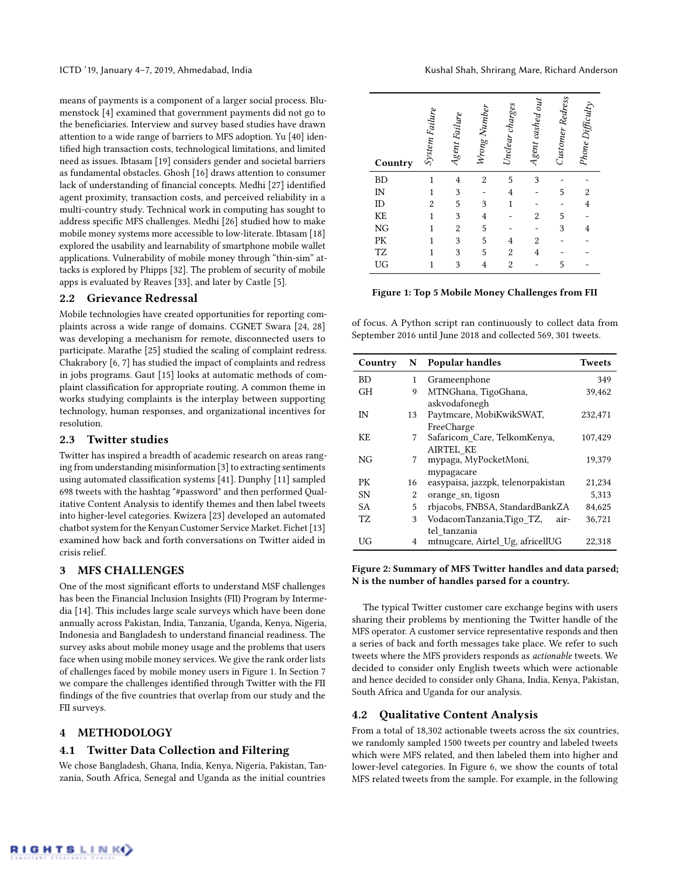means of payments is a component of a larger social process. Blumenstock [\[4\]](#page-4-8) examined that government payments did not go to the beneficiaries. Interview and survey based studies have drawn attention to a wide range of barriers to MFS adoption. Yu [\[40\]](#page-5-0) identified high transaction costs, technological limitations, and limited need as issues. Ibtasam [\[19\]](#page-4-6) considers gender and societal barriers as fundamental obstacles. Ghosh [\[16\]](#page-4-18) draws attention to consumer lack of understanding of financial concepts. Medhi [\[27\]](#page-4-19) identified agent proximity, transaction costs, and perceived reliability in a multi-country study. Technical work in computing has sought to address specific MFS challenges. Medhi [\[26\]](#page-4-20) studied how to make mobile money systems more accessible to low-literate. Ibtasam [\[18\]](#page-4-21) explored the usability and learnability of smartphone mobile wallet applications. Vulnerability of mobile money through "thin-sim" attacks is explored by Phipps [\[32\]](#page-4-22). The problem of security of mobile apps is evaluated by Reaves [\[33\]](#page-4-23), and later by Castle [\[5\]](#page-4-24).

# 2.2 Grievance Redressal

Mobile technologies have created opportunities for reporting complaints across a wide range of domains. CGNET Swara [\[24,](#page-4-25) [28\]](#page-4-26) was developing a mechanism for remote, disconnected users to participate. Marathe [\[25\]](#page-4-27) studied the scaling of complaint redress. Chakrabory [\[6,](#page-4-28) [7\]](#page-4-29) has studied the impact of complaints and redress in jobs programs. Gaut [\[15\]](#page-4-30) looks at automatic methods of complaint classification for appropriate routing. A common theme in works studying complaints is the interplay between supporting technology, human responses, and organizational incentives for resolution.

## 2.3 Twitter studies

Twitter has inspired a breadth of academic research on areas ranging from understanding misinformation [\[3\]](#page-4-31) to extracting sentiments using automated classification systems [\[41\]](#page-5-1). Dunphy [\[11\]](#page-4-32) sampled 698 tweets with the hashtag "#password" and then performed Qualitative Content Analysis to identify themes and then label tweets into higher-level categories. Kwizera [\[23\]](#page-4-33) developed an automated chatbot system for the Kenyan Customer Service Market. Fichet [\[13\]](#page-4-34) examined how back and forth conversations on Twitter aided in crisis relief.

# <span id="page-1-1"></span>3 MFS CHALLENGES

One of the most significant efforts to understand MSF challenges has been the Financial Inclusion Insights (FII) Program by Intermedia [\[14\]](#page-4-9). This includes large scale surveys which have been done annually across Pakistan, India, Tanzania, Uganda, Kenya, Nigeria, Indonesia and Bangladesh to understand financial readiness. The survey asks about mobile money usage and the problems that users face when using mobile money services. We give the rank order lists of challenges faced by mobile money users in Figure [1.](#page-1-0) In Section 7 we compare the challenges identified through Twitter with the FII findings of the five countries that overlap from our study and the FII surveys.

# 4 METHODOLOGY

#### 4.1 Twitter Data Collection and Filtering

We chose Bangladesh, Ghana, India, Kenya, Nigeria, Pakistan, Tanzania, South Africa, Senegal and Uganda as the initial countries

<span id="page-1-0"></span>

| Country  | System Failure | Agent Failure  | Wrong Number   | Unclear charges | Agent cashed out | Customer Redress | Phone Difficulty |
|----------|----------------|----------------|----------------|-----------------|------------------|------------------|------------------|
| BD       |                | $\overline{4}$ | $\overline{2}$ | 5               | 3                |                  |                  |
| IN       |                | 3              |                | $\overline{4}$  |                  | 5                | 2                |
| ID       | $\overline{2}$ | 5              | 3              | $\mathbf{1}$    |                  |                  | $\overline{4}$   |
| KE       |                | 3              | $\overline{4}$ |                 | $\overline{2}$   | 5                |                  |
| NG       |                | $\overline{2}$ | 5              |                 |                  | 3                | 4                |
| PK       |                | 3              | 5              | 4               | $\overline{2}$   |                  |                  |
| TZ<br>UG |                | 3              | 5              | $\overline{c}$  | $\overline{4}$   |                  |                  |
|          |                | 3              | $\overline{4}$ | $\overline{c}$  |                  | 5                |                  |

Figure 1: Top 5 Mobile Money Challenges from FII

of focus. A Python script ran continuously to collect data from September 2016 until June 2018 and collected 569, 301 tweets.

| Country   | N  | <b>Popular handles</b>             | <b>Tweets</b> |
|-----------|----|------------------------------------|---------------|
| <b>BD</b> | 1  | Grameenphone                       | 349           |
| <b>GH</b> | 9  | MTNGhana, TigoGhana,               | 39,462        |
|           |    | askvodafonegh                      |               |
| IN        | 13 | Paytmcare, MobiKwikSWAT,           | 232,471       |
|           |    | FreeCharge                         |               |
| KF.       | 7  | Safaricom Care, TelkomKenya,       | 107,429       |
|           |    | AIRTEL_KE                          |               |
| NG        | 7  | mypaga, MyPocketMoni,              | 19,379        |
|           |    | mypagacare                         |               |
| PК        | 16 | easypaisa, jazzpk, telenorpakistan | 21,234        |
| <b>SN</b> | 2  | orange_sn, tigosn                  | 5,313         |
| <b>SA</b> | 5  | rbjacobs, FNBSA, StandardBankZA    | 84,625        |
| TZ        | 3  | VodacomTanzania,Tigo_TZ,<br>air-   | 36,721        |
|           |    | tel tanzania                       |               |
| UG        | 4  | mtnugcare, Airtel_Ug, africellUG   | 22,318        |

#### Figure 2: Summary of MFS Twitter handles and data parsed; N is the number of handles parsed for a country.

The typical Twitter customer care exchange begins with users sharing their problems by mentioning the Twitter handle of the MFS operator. A customer service representative responds and then a series of back and forth messages take place. We refer to such tweets where the MFS providers responds as actionable tweets. We decided to consider only English tweets which were actionable and hence decided to consider only Ghana, India, Kenya, Pakistan, South Africa and Uganda for our analysis.

#### 4.2 Qualitative Content Analysis

From a total of 18,302 actionable tweets across the six countries, we randomly sampled 1500 tweets per country and labeled tweets which were MFS related, and then labeled them into higher and lower-level categories. In Figure 6, we show the counts of total MFS related tweets from the sample. For example, in the following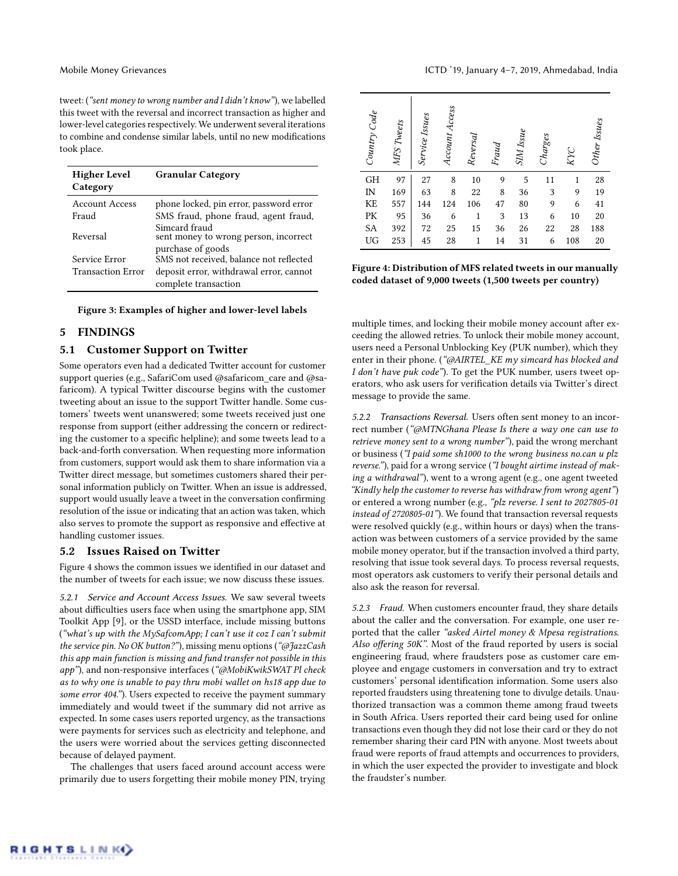tweet: ("sent money to wrong number and I didn't know"), we labelled this tweet with the reversal and incorrect transaction as higher and lower-level categories respectively. We underwent several iterations to combine and condense similar labels, until no new modifications took place.

| <b>Higher Level</b><br>Category | <b>Granular Category</b>                               |
|---------------------------------|--------------------------------------------------------|
| Account Access                  | phone locked, pin error, password error                |
| Fraud                           | SMS fraud, phone fraud, agent fraud,                   |
| Reversal                        | Simcard fraud<br>sent money to wrong person, incorrect |
|                                 | purchase of goods                                      |
| Service Error                   | SMS not received, balance not reflected                |
| <b>Transaction Error</b>        | deposit error, withdrawal error, cannot                |
|                                 | complete transaction                                   |

Figure 3: Examples of higher and lower-level labels

#### 5 FINDINGS

#### 5.1 Customer Support on Twitter

Some operators even had a dedicated Twitter account for customer support queries (e.g., SafariCom used @safaricom\_care and @safaricom). A typical Twitter discourse begins with the customer tweeting about an issue to the support Twitter handle. Some customers' tweets went unanswered; some tweets received just one response from support (either addressing the concern or redirecting the customer to a specific helpline); and some tweets lead to a back-and-forth conversation. When requesting more information from customers, support would ask them to share information via a Twitter direct message, but sometimes customers shared their personal information publicly on Twitter. When an issue is addressed, support would usually leave a tweet in the conversation confirming resolution of the issue or indicating that an action was taken, which also serves to promote the support as responsive and effective at handling customer issues.

#### 5.2 Issues Raised on Twitter

Figure [4](#page-2-0) shows the common issues we identified in our dataset and the number of tweets for each issue; we now discuss these issues.

5.2.1 Service and Account Access Issues. We saw several tweets about difficulties users face when using the smartphone app, SIM Toolkit App [\[9\]](#page-4-35), or the USSD interface, include missing buttons ("what's up with the MySafcomApp; I can't use it coz I can't submit the service pin. No OK button?"), missing menu options ("@JazzCash this app main function is missing and fund transfer not possible in this app"), and non-responsive interfaces ("@MobiKwikSWAT Pl check as to why one is unable to pay thru mobi wallet on hs18 app due to some error 404."). Users expected to receive the payment summary immediately and would tweet if the summary did not arrive as expected. In some cases users reported urgency, as the transactions were payments for services such as electricity and telephone, and the users were worried about the services getting disconnected because of delayed payment.

The challenges that users faced around account access were primarily due to users forgetting their mobile money PIN, trying

<span id="page-2-0"></span>

| Country Code | MFS Tweets | Service Issues | Account Access | Reversal     | Fraud | SIM Issue | Charges | KYC | Other Issues |
|--------------|------------|----------------|----------------|--------------|-------|-----------|---------|-----|--------------|
| GH           | 97         | 27             | 8              | 10           | 9     | 5         | 11      | 1   | 28           |
| IN           | 169        | 63             | 8              | 22           | 8     | 36        | 3       | 9   | 19           |
| KE           | 557        | 144            | 124            | 106          | 47    | 80        | 9       | 6   | 41           |
| PK           | 95         | 36             | 6              | $\mathbf{1}$ | 3     | 13        | 6       | 10  | 20           |
| SA           | 392        | 72             | 25             | 15           | 36    | 26        | 22      | 28  | 188          |
| UG           | 253        | 45             | 28             | $\mathbf{1}$ | 14    | 31        | 6       | 108 | 20           |

Figure 4: Distribution of MFS related tweets in our manually coded dataset of 9,000 tweets (1,500 tweets per country)

multiple times, and locking their mobile money account after exceeding the allowed retries. To unlock their mobile money account, users need a Personal Unblocking Key (PUK number), which they enter in their phone. ("@AIRTEL\_KE my simcard has blocked and I don't have puk code"). To get the PUK number, users tweet operators, who ask users for verification details via Twitter's direct message to provide the same.

5.2.2 Transactions Reversal. Users often sent money to an incorrect number ("@MTNGhana Please Is there a way one can use to retrieve money sent to a wrong number"), paid the wrong merchant or business ("I paid some sh1000 to the wrong business no.can u plz reverse."), paid for a wrong service ("I bought airtime instead of making a withdrawal"), went to a wrong agent (e.g., one agent tweeted "Kindly help the customer to reverse has withdraw from wrong agent") or entered a wrong number (e.g., "plz reverse. I sent to 2027805-01 instead of 2720805-01"). We found that transaction reversal requests were resolved quickly (e.g., within hours or days) when the transaction was between customers of a service provided by the same mobile money operator, but if the transaction involved a third party, resolving that issue took several days. To process reversal requests, most operators ask customers to verify their personal details and also ask the reason for reversal.

5.2.3 Fraud. When customers encounter fraud, they share details about the caller and the conversation. For example, one user reported that the caller "asked Airtel money & Mpesa registrations. Also offering 50K". Most of the fraud reported by users is social engineering fraud, where fraudsters pose as customer care employee and engage customers in conversation and try to extract customers' personal identification information. Some users also reported fraudsters using threatening tone to divulge details. Unauthorized transaction was a common theme among fraud tweets in South Africa. Users reported their card being used for online transactions even though they did not lose their card or they do not remember sharing their card PIN with anyone. Most tweets about fraud were reports of fraud attempts and occurrences to providers, in which the user expected the provider to investigate and block the fraudster's number.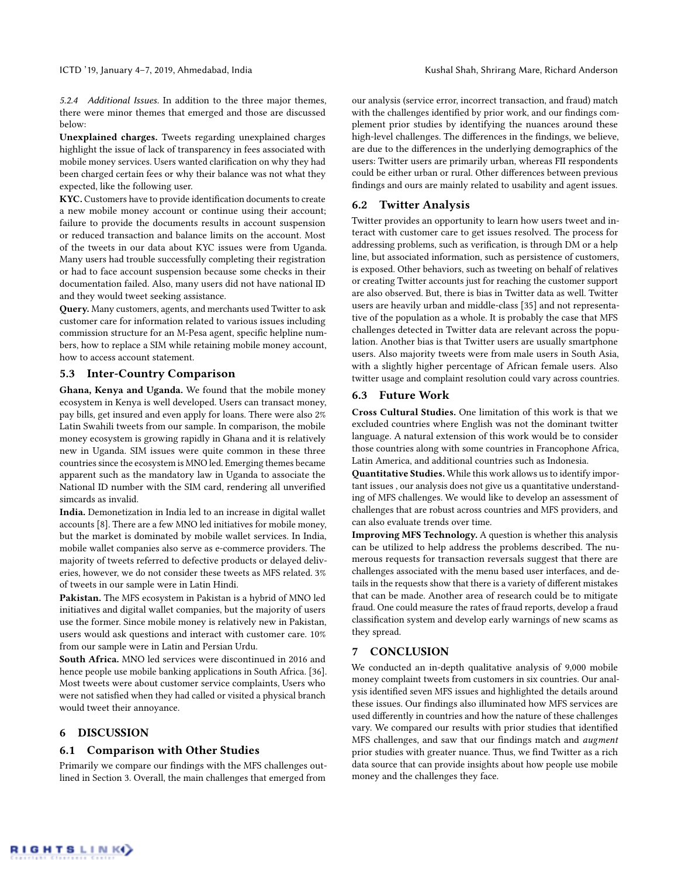5.2.4 Additional Issues. In addition to the three major themes, there were minor themes that emerged and those are discussed below:

Unexplained charges. Tweets regarding unexplained charges highlight the issue of lack of transparency in fees associated with mobile money services. Users wanted clarification on why they had been charged certain fees or why their balance was not what they expected, like the following user.

KYC. Customers have to provide identification documents to create a new mobile money account or continue using their account; failure to provide the documents results in account suspension or reduced transaction and balance limits on the account. Most of the tweets in our data about KYC issues were from Uganda. Many users had trouble successfully completing their registration or had to face account suspension because some checks in their documentation failed. Also, many users did not have national ID and they would tweet seeking assistance.

Query. Many customers, agents, and merchants used Twitter to ask customer care for information related to various issues including commission structure for an M-Pesa agent, specific helpline numbers, how to replace a SIM while retaining mobile money account, how to access account statement.

### 5.3 Inter-Country Comparison

Ghana, Kenya and Uganda. We found that the mobile money ecosystem in Kenya is well developed. Users can transact money, pay bills, get insured and even apply for loans. There were also 2% Latin Swahili tweets from our sample. In comparison, the mobile money ecosystem is growing rapidly in Ghana and it is relatively new in Uganda. SIM issues were quite common in these three countries since the ecosystem is MNO led. Emerging themes became apparent such as the mandatory law in Uganda to associate the National ID number with the SIM card, rendering all unverified simcards as invalid.

India. Demonetization in India led to an increase in digital wallet accounts [\[8\]](#page-4-36). There are a few MNO led initiatives for mobile money, but the market is dominated by mobile wallet services. In India, mobile wallet companies also serve as e-commerce providers. The majority of tweets referred to defective products or delayed deliveries, however, we do not consider these tweets as MFS related. 3% of tweets in our sample were in Latin Hindi.

Pakistan. The MFS ecosystem in Pakistan is a hybrid of MNO led initiatives and digital wallet companies, but the majority of users use the former. Since mobile money is relatively new in Pakistan, users would ask questions and interact with customer care. 10% from our sample were in Latin and Persian Urdu.

South Africa. MNO led services were discontinued in 2016 and hence people use mobile banking applications in South Africa. [\[36\]](#page-4-37). Most tweets were about customer service complaints, Users who were not satisfied when they had called or visited a physical branch would tweet their annoyance.

#### 6 DISCUSSION

#### 6.1 Comparison with Other Studies

Primarily we compare our findings with the MFS challenges outlined in Section [3.](#page-1-1) Overall, the main challenges that emerged from

our analysis (service error, incorrect transaction, and fraud) match with the challenges identified by prior work, and our findings complement prior studies by identifying the nuances around these high-level challenges. The differences in the findings, we believe, are due to the differences in the underlying demographics of the users: Twitter users are primarily urban, whereas FII respondents could be either urban or rural. Other differences between previous findings and ours are mainly related to usability and agent issues.

# 6.2 Twitter Analysis

Twitter provides an opportunity to learn how users tweet and interact with customer care to get issues resolved. The process for addressing problems, such as verification, is through DM or a help line, but associated information, such as persistence of customers, is exposed. Other behaviors, such as tweeting on behalf of relatives or creating Twitter accounts just for reaching the customer support are also observed. But, there is bias in Twitter data as well. Twitter users are heavily urban and middle-class [\[35\]](#page-4-38) and not representative of the population as a whole. It is probably the case that MFS challenges detected in Twitter data are relevant across the population. Another bias is that Twitter users are usually smartphone users. Also majority tweets were from male users in South Asia, with a slightly higher percentage of African female users. Also twitter usage and complaint resolution could vary across countries.

# 6.3 Future Work

Cross Cultural Studies. One limitation of this work is that we excluded countries where English was not the dominant twitter language. A natural extension of this work would be to consider those countries along with some countries in Francophone Africa, Latin America, and additional countries such as Indonesia.

Quantitative Studies. While this work allows us to identify important issues , our analysis does not give us a quantitative understanding of MFS challenges. We would like to develop an assessment of challenges that are robust across countries and MFS providers, and can also evaluate trends over time.

Improving MFS Technology. A question is whether this analysis can be utilized to help address the problems described. The numerous requests for transaction reversals suggest that there are challenges associated with the menu based user interfaces, and details in the requests show that there is a variety of different mistakes that can be made. Another area of research could be to mitigate fraud. One could measure the rates of fraud reports, develop a fraud classification system and develop early warnings of new scams as they spread.

# 7 CONCLUSION

We conducted an in-depth qualitative analysis of 9,000 mobile money complaint tweets from customers in six countries. Our analysis identified seven MFS issues and highlighted the details around these issues. Our findings also illuminated how MFS services are used differently in countries and how the nature of these challenges vary. We compared our results with prior studies that identified MFS challenges, and saw that our findings match and augment prior studies with greater nuance. Thus, we find Twitter as a rich data source that can provide insights about how people use mobile money and the challenges they face.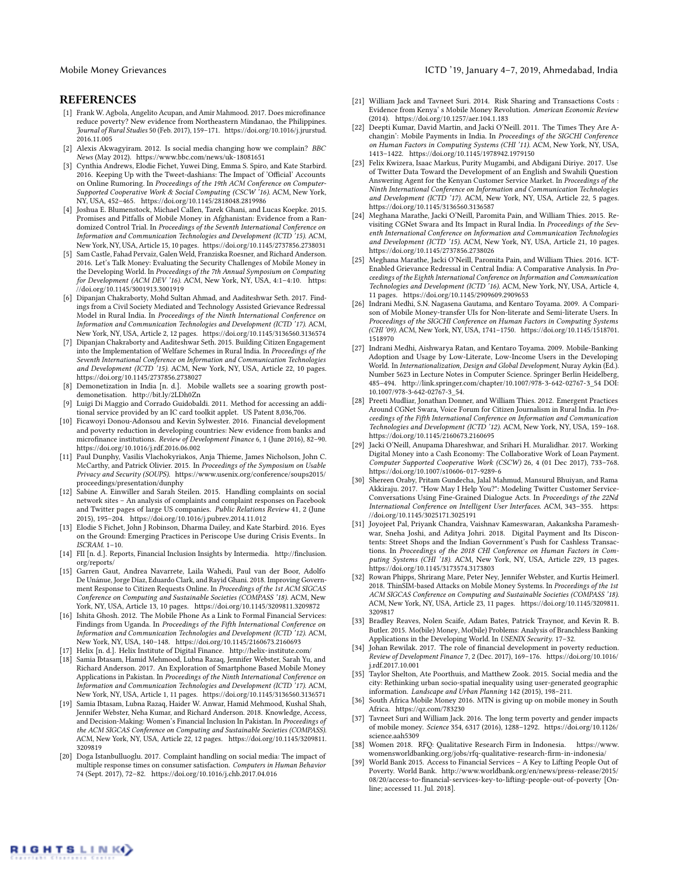#### **REFERENCES**

- <span id="page-4-0"></span>[1] Frank W. Agbola, Angelito Acupan, and Amir Mahmood. 2017. Does microfinance reduce poverty? New evidence from Northeastern Mindanao, the Philippines. Journal of Rural Studies 50 (Feb. 2017), 159–171. [https://doi.org/10.1016/j.jrurstud.](https://doi.org/10.1016/j.jrurstud.2016.11.005) [2016.11.005](https://doi.org/10.1016/j.jrurstud.2016.11.005)
- <span id="page-4-11"></span>[2] Alexis Akwagyiram. 2012. Is social media changing how we complain? BBC News (May 2012).<https://www.bbc.com/news/uk-18081651>
- <span id="page-4-31"></span>[3] Cynthia Andrews, Elodie Fichet, Yuwei Ding, Emma S. Spiro, and Kate Starbird. 2016. Keeping Up with the Tweet-dashians: The Impact of 'Official' Accounts on Online Rumoring. In Proceedings of the 19th ACM Conference on Computer-Supported Cooperative Work & Social Computing (CSCW<sup>5</sup>16). ACM, New York, NY, USA, 452–465.<https://doi.org/10.1145/2818048.2819986>
- <span id="page-4-8"></span>[4] Joshua E. Blumenstock, Michael Callen, Tarek Ghani, and Lucas Koepke. 2015. Promises and Pitfalls of Mobile Money in Afghanistan: Evidence from a Randomized Control Trial. In Proceedings of the Seventh International Conference on Information and Communication Technologies and Development (ICTD '15). ACM, New York, NY, USA, Article 15, 10 pages.<https://doi.org/10.1145/2737856.2738031>
- <span id="page-4-24"></span>[5] Sam Castle, Fahad Pervaiz, Galen Weld, Franziska Roesner, and Richard Anderson. 2016. Let's Talk Money: Evaluating the Security Challenges of Mobile Money in the Developing World. In Proceedings of the 7th Annual Symposium on Computing for Development (ACM DEV '16). ACM, New York, NY, USA, 4:1-4:10. [https:](https://doi.org/10.1145/3001913.3001919) [//doi.org/10.1145/3001913.3001919](https://doi.org/10.1145/3001913.3001919)
- <span id="page-4-28"></span>[6] Dipanjan Chakraborty, Mohd Sultan Ahmad, and Aaditeshwar Seth. 2017. Findings from a Civil Society Mediated and Technology Assisted Grievance Redressal Model in Rural India. In Proceedings of the Ninth International Conference on Information and Communication Technologies and Development (ICTD '17). ACM, New York, NY, USA, Article 2, 12 pages.<https://doi.org/10.1145/3136560.3136574>
- <span id="page-4-29"></span>[7] Dipanjan Chakraborty and Aaditeshwar Seth. 2015. Building Citizen Engagement into the Implementation of Welfare Schemes in Rural India. In Proceedings of the Seventh International Conference on Information and Communication Technologies and Development (ICTD '15). ACM, New York, NY, USA, Article 22, 10 pages. <https://doi.org/10.1145/2737856.2738027>
- <span id="page-4-36"></span>[8] Demonetization in India [n. d.]. Mobile wallets see a soaring growth postdemonetisation.<http://bit.ly/2LDh0Zn>
- <span id="page-4-35"></span>[9] Luigi Di Maggio and Corrado Guidobaldi. 2011. Method for accessing an additional service provided by an IC card toolkit applet. US Patent 8,036,706.
- <span id="page-4-1"></span>[10] Ficawoyi Donou-Adonsou and Kevin Sylwester. 2016. Financial development and poverty reduction in developing countries: New evidence from banks and microfinance institutions. Review of Development Finance 6, 1 (June 2016), 82–90. <https://doi.org/10.1016/j.rdf.2016.06.002>
- <span id="page-4-32"></span>[11] Paul Dunphy, Vasilis Vlachokyriakos, Anja Thieme, James Nicholson, John C. McCarthy, and Patrick Olivier. 2015. In Proceedings of the Symposium on Usable Privacy and Security (SOUPS). [https://www.usenix.org/conference/soups2015/](https://www.usenix.org/conference/soups2015/proceedings/presentation/dunphy) [proceedings/presentation/dunphy](https://www.usenix.org/conference/soups2015/proceedings/presentation/dunphy)
- <span id="page-4-12"></span>[12] Sabine A. Einwiller and Sarah Steilen. 2015. Handling complaints on social network sites – An analysis of complaints and complaint responses on Facebook and Twitter pages of large US companies. Public Relations Review 41, 2 (June 2015), 195–204.<https://doi.org/10.1016/j.pubrev.2014.11.012>
- <span id="page-4-34"></span>[13] Elodie S Fichet, John J Robinson, Dharma Dailey, and Kate Starbird. 2016. Eyes on the Ground: Emerging Practices in Periscope Use during Crisis Events.. In ISCRAM. 1–10.
- <span id="page-4-9"></span>[14] FII [n. d.]. Reports, Financial Inclusion Insights by Intermedia. [http://finclusion.](http://finclusion.org/reports/) [org/reports/](http://finclusion.org/reports/)
- <span id="page-4-30"></span>[15] Garren Gaut, Andrea Navarrete, Laila Wahedi, Paul van der Boor, Adolfo De Unánue, Jorge Díaz, Eduardo Clark, and Rayid Ghani. 2018. Improving Government Response to Citizen Requests Online. In Proceedings of the 1st ACM SIGCAS Conference on Computing and Sustainable Societies (COMPASS '18). ACM, New York, NY, USA, Article 13, 10 pages.<https://doi.org/10.1145/3209811.3209872>
- <span id="page-4-18"></span>[16] Ishita Ghosh. 2012. The Mobile Phone As a Link to Formal Financial Services: Findings from Uganda. In Proceedings of the Fifth International Conference on Information and Communication Technologies and Development (ICTD '12). ACM, New York, NY, USA, 140–148.<https://doi.org/10.1145/2160673.2160693>
- <span id="page-4-10"></span>[17] Helix [n. d.]. Helix Institute of Digital Finance.<http://helix-institute.com/>
- <span id="page-4-21"></span>[18] Samia Ibtasam, Hamid Mehmood, Lubna Razaq, Jennifer Webster, Sarah Yu, and Richard Anderson. 2017. An Exploration of Smartphone Based Mobile Money Applications in Pakistan. In Proceedings of the Ninth International Conference on Information and Communication Technologies and Development (ICTD '17). ACM, New York, NY, USA, Article 1, 11 pages.<https://doi.org/10.1145/3136560.3136571>
- <span id="page-4-6"></span>[19] Samia Ibtasam, Lubna Razaq, Haider W. Anwar, Hamid Mehmood, Kushal Shah, Jennifer Webster, Neha Kumar, and Richard Anderson. 2018. Knowledge, Access, and Decision-Making: Women's Financial Inclusion In Pakistan. In Proceedings of the ACM SIGCAS Conference on Computing and Sustainable Societies (COMPASS). ACM, New York, NY, USA, Article 22, 12 pages. [https://doi.org/10.1145/3209811.](https://doi.org/10.1145/3209811.3209819) [3209819](https://doi.org/10.1145/3209811.3209819)
- <span id="page-4-13"></span>[20] Doga Istanbulluoglu. 2017. Complaint handling on social media: The impact of multiple response times on consumer satisfaction. Computers in Human Behavior 74 (Sept. 2017), 72–82.<https://doi.org/10.1016/j.chb.2017.04.016>
- <span id="page-4-4"></span>[21] William Jack and Tavneet Suri. 2014. Risk Sharing and Transactions Costs : Evidence from Kenya' s Mobile Money Revolution. American Economic Review (2014).<https://doi.org/10.1257/aer.104.1.183>
- <span id="page-4-15"></span>[22] Deepti Kumar, David Martin, and Jacki O'Neill. 2011. The Times They Are Achangin': Mobile Payments in India. In Proceedings of the SIGCHI Conference on Human Factors in Computing Systems (CHI '11). ACM, New York, NY, USA, 1413–1422.<https://doi.org/10.1145/1978942.1979150>
- <span id="page-4-33"></span>[23] Felix Kwizera, Isaac Markus, Purity Mugambi, and Abdigani Diriye. 2017. Use of Twitter Data Toward the Development of an English and Swahili Question Answering Agent for the Kenyan Customer Service Market. In Proceedings of the Ninth International Conference on Information and Communication Technologies and Development (ICTD '17). ACM, New York, NY, USA, Article 22, 5 pages. <https://doi.org/10.1145/3136560.3136587>
- <span id="page-4-25"></span>[24] Meghana Marathe, Jacki O'Neill, Paromita Pain, and William Thies. 2015. Revisiting CGNet Swara and Its Impact in Rural India. In Proceedings of the Seventh International Conference on Information and Communication Technologies and Development (ICTD '15). ACM, New York, NY, USA, Article 21, 10 pages. <https://doi.org/10.1145/2737856.2738026>
- <span id="page-4-27"></span>[25] Meghana Marathe, Jacki O'Neill, Paromita Pain, and William Thies. 2016. ICT-Enabled Grievance Redressal in Central India: A Comparative Analysis. In Proceedings of the Eighth International Conference on Information and Communication Technologies and Development (ICTD '16). ACM, New York, NY, USA, Article 4, 11 pages.<https://doi.org/10.1145/2909609.2909653>
- <span id="page-4-20"></span>[26] Indrani Medhi, S.N. Nagasena Gautama, and Kentaro Toyama. 2009. A Comparison of Mobile Money-transfer UIs for Non-literate and Semi-literate Users. In Proceedings of the SIGCHI Conference on Human Factors in Computing Systems (CHI '09). ACM, New York, NY, USA, 1741–1750. [https://doi.org/10.1145/1518701.](https://doi.org/10.1145/1518701.1518970) [1518970](https://doi.org/10.1145/1518701.1518970)
- <span id="page-4-19"></span>[27] Indrani Medhi, Aishwarya Ratan, and Kentaro Toyama. 2009. Mobile-Banking Adoption and Usage by Low-Literate, Low-Income Users in the Developing World. In Internationalization, Design and Global Development, Nuray Aykin (Ed.). Number 5623 in Lecture Notes in Computer Science. Springer Berlin Heidelberg, 485–494. [http://link.springer.com/chapter/10.1007/978-3-642-02767-3\\_54](http://link.springer.com/chapter/10.1007/978-3-642-02767-3_54) DOI: 10.1007/978-3-642-02767-3\_54.
- <span id="page-4-26"></span>[28] Preeti Mudliar, Jonathan Donner, and William Thies. 2012. Emergent Practices Around CGNet Swara, Voice Forum for Citizen Journalism in Rural India. In Proceedings of the Fifth International Conference on Information and Communication Technologies and Development (ICTD '12). ACM, New York, NY, USA, 159–168. <https://doi.org/10.1145/2160673.2160695>
- <span id="page-4-17"></span>[29] Jacki O'Neill, Anupama Dhareshwar, and Srihari H. Muralidhar. 2017. Working Digital Money into a Cash Economy: The Collaborative Work of Loan Payment. Computer Supported Cooperative Work (CSCW) 26, 4 (01 Dec 2017), 733–768. <https://doi.org/10.1007/s10606-017-9289-6>
- <span id="page-4-14"></span>[30] Shereen Oraby, Pritam Gundecha, Jalal Mahmud, Mansurul Bhuiyan, and Rama Akkiraju. 2017. "How May I Help You?": Modeling Twitter Customer Service-Conversations Using Fine-Grained Dialogue Acts. In Proceedings of the 22Nd International Conference on Intelligent User Interfaces. ACM, 343–355. [https:](https://doi.org/10.1145/3025171.3025191) [//doi.org/10.1145/3025171.3025191](https://doi.org/10.1145/3025171.3025191)
- <span id="page-4-16"></span>[31] Joyojeet Pal, Priyank Chandra, Vaishnav Kameswaran, Aakanksha Parameshwar, Sneha Joshi, and Aditya Johri. 2018. Digital Payment and Its Discontents: Street Shops and the Indian Government's Push for Cashless Transactions. In Proceedings of the 2018 CHI Conference on Human Factors in Com-puting Systems (CHI '18). ACM, New York, NY, USA, Article 229, 13 pages. <https://doi.org/10.1145/3173574.3173803>
- <span id="page-4-22"></span>[32] Rowan Phipps, Shrirang Mare, Peter Ney, Jennifer Webster, and Kurtis Heimerl. 2018. ThinSIM-based Attacks on Mobile Money Systems. In Proceedings of the 1st ACM SIGCAS Conference on Computing and Sustainable Societies (COMPASS '18). ACM, New York, NY, USA, Article 23, 11 pages. [https://doi.org/10.1145/3209811.](https://doi.org/10.1145/3209811.3209817) [3209817](https://doi.org/10.1145/3209811.3209817)
- <span id="page-4-23"></span>[33] Bradley Reaves, Nolen Scaife, Adam Bates, Patrick Traynor, and Kevin R. B. Butler. 2015. Mo(bile) Money, Mo(bile) Problems: Analysis of Branchless Banking Applications in the Developing World. In USENIX Security. 17–32.
- <span id="page-4-2"></span>[34] Johan Rewilak. 2017. The role of financial development in poverty reduction. Review of Development Finance 7, 2 (Dec. 2017), 169–176. [https://doi.org/10.1016/](https://doi.org/10.1016/j.rdf.2017.10.001) [j.rdf.2017.10.001](https://doi.org/10.1016/j.rdf.2017.10.001)
- <span id="page-4-38"></span>[35] Taylor Shelton, Ate Poorthuis, and Matthew Zook. 2015. Social media and the city: Rethinking urban socio-spatial inequality using user-generated geographic information. Landscape and Urban Planning 142 (2015), 198–211.
- <span id="page-4-37"></span>[36] South Africa Mobile Money 2016. MTN is giving up on mobile money in South Africa.<https://qz.com/783230>
- <span id="page-4-5"></span>[37] Tavneet Suri and William Jack. 2016. The long term poverty and gender impacts of mobile money. Science 354, 6317 (2016), 1288–1292. [https://doi.org/10.1126/](https://doi.org/10.1126/science.aah5309) [science.aah5309](https://doi.org/10.1126/science.aah5309)
- <span id="page-4-7"></span>[38] Women 2018. RFQ: Qualitative Research Firm in Indonesia. [https://www.](https://www.womensworldbanking.org/jobs/rfq-qualitative-research-firm-in-indonesia/) [womensworldbanking.org/jobs/rfq-qualitative-research-firm-in-indonesia/](https://www.womensworldbanking.org/jobs/rfq-qualitative-research-firm-in-indonesia/)
- <span id="page-4-3"></span>[39] World Bank 2015. Access to Financial Services – A Key to Lifting People Out of Poverty. World Bank. [http://www.worldbank.org/en/news/press-release/2015/](http://www.worldbank.org/en/news/press-release/2015/08/20/access-to-financial-services-key-to-lifting-people-out-of-poverty) [08/20/access-to-financial-services-key-to-lifting-people-out-of-poverty](http://www.worldbank.org/en/news/press-release/2015/08/20/access-to-financial-services-key-to-lifting-people-out-of-poverty) [Online; accessed 11. Jul. 2018].